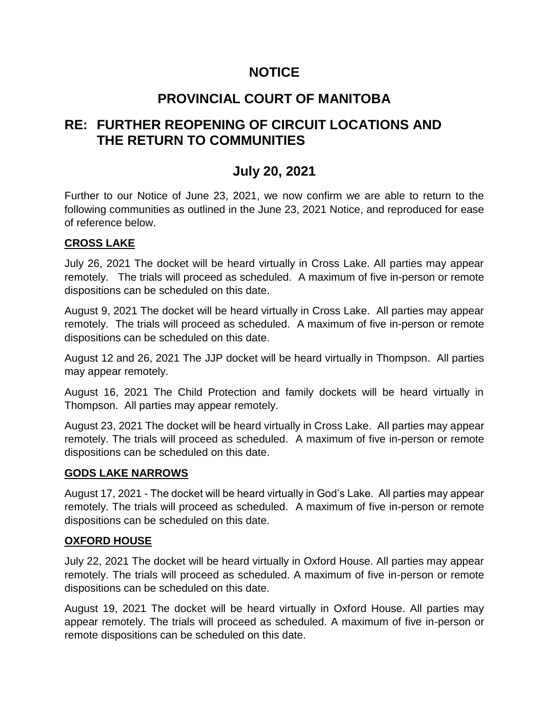# **NOTICE**

# **PROVINCIAL COURT OF MANITOBA**

# **RE: FURTHER REOPENING OF CIRCUIT LOCATIONS AND THE RETURN TO COMMUNITIES**

# **July 20, 2021**

Further to our Notice of June 23, 2021, we now confirm we are able to return to the following communities as outlined in the June 23, 2021 Notice, and reproduced for ease of reference below.

## **CROSS LAKE**

July 26, 2021 The docket will be heard virtually in Cross Lake. All parties may appear remotely. The trials will proceed as scheduled. A maximum of five in-person or remote dispositions can be scheduled on this date.

August 9, 2021 The docket will be heard virtually in Cross Lake. All parties may appear remotely. The trials will proceed as scheduled. A maximum of five in-person or remote dispositions can be scheduled on this date.

August 12 and 26, 2021 The JJP docket will be heard virtually in Thompson. All parties may appear remotely.

August 16, 2021 The Child Protection and family dockets will be heard virtually in Thompson. All parties may appear remotely.

August 23, 2021 The docket will be heard virtually in Cross Lake. All parties may appear remotely. The trials will proceed as scheduled. A maximum of five in-person or remote dispositions can be scheduled on this date.

## **GODS LAKE NARROWS**

August 17, 2021 - The docket will be heard virtually in God's Lake. All parties may appear remotely. The trials will proceed as scheduled. A maximum of five in-person or remote dispositions can be scheduled on this date.

## **OXFORD HOUSE**

July 22, 2021 The docket will be heard virtually in Oxford House. All parties may appear remotely. The trials will proceed as scheduled. A maximum of five in-person or remote dispositions can be scheduled on this date.

August 19, 2021 The docket will be heard virtually in Oxford House. All parties may appear remotely. The trials will proceed as scheduled. A maximum of five in-person or remote dispositions can be scheduled on this date.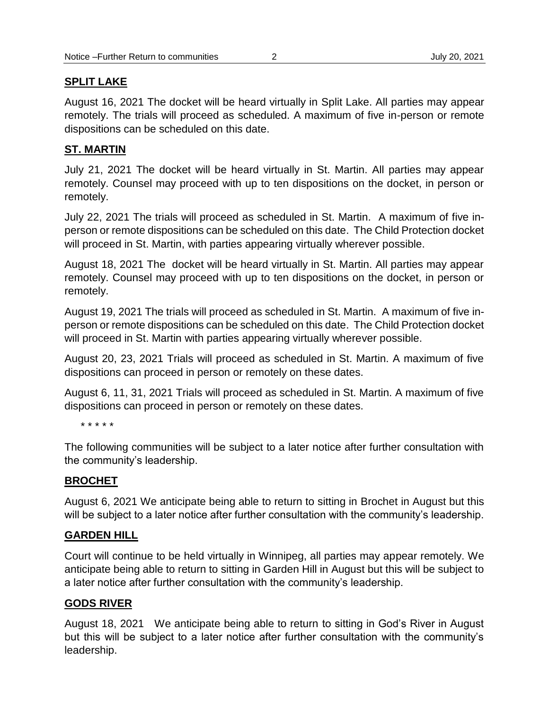#### **SPLIT LAKE**

August 16, 2021 The docket will be heard virtually in Split Lake. All parties may appear remotely. The trials will proceed as scheduled. A maximum of five in-person or remote dispositions can be scheduled on this date.

### **ST. MARTIN**

July 21, 2021 The docket will be heard virtually in St. Martin. All parties may appear remotely. Counsel may proceed with up to ten dispositions on the docket, in person or remotely.

July 22, 2021 The trials will proceed as scheduled in St. Martin. A maximum of five inperson or remote dispositions can be scheduled on this date. The Child Protection docket will proceed in St. Martin, with parties appearing virtually wherever possible.

August 18, 2021 The docket will be heard virtually in St. Martin. All parties may appear remotely. Counsel may proceed with up to ten dispositions on the docket, in person or remotely.

August 19, 2021 The trials will proceed as scheduled in St. Martin. A maximum of five inperson or remote dispositions can be scheduled on this date. The Child Protection docket will proceed in St. Martin with parties appearing virtually wherever possible.

August 20, 23, 2021 Trials will proceed as scheduled in St. Martin. A maximum of five dispositions can proceed in person or remotely on these dates.

August 6, 11, 31, 2021 Trials will proceed as scheduled in St. Martin. A maximum of five dispositions can proceed in person or remotely on these dates.

\* \* \* \* \*

The following communities will be subject to a later notice after further consultation with the community's leadership.

### **BROCHET**

August 6, 2021 We anticipate being able to return to sitting in Brochet in August but this will be subject to a later notice after further consultation with the community's leadership.

### **GARDEN HILL**

Court will continue to be held virtually in Winnipeg, all parties may appear remotely. We anticipate being able to return to sitting in Garden Hill in August but this will be subject to a later notice after further consultation with the community's leadership.

### **GODS RIVER**

August 18, 2021 We anticipate being able to return to sitting in God's River in August but this will be subject to a later notice after further consultation with the community's leadership.